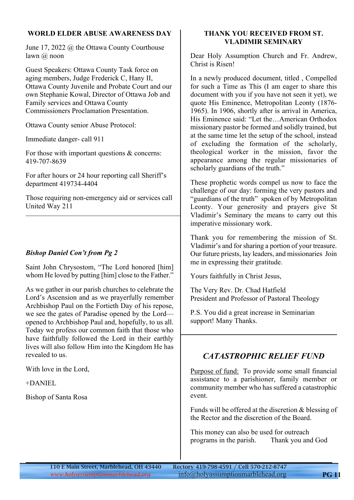#### **WORLD ELDER ABUSE AWARENESS DAY**

June 17, 2022 @ the Ottawa County Courthouse lawn @ noon

Guest Speakers: Ottawa County Task force on aging members, Judge Frederick C, Hany II, Ottawa County Juvenile and Probate Court and our own Stephanie Kowal, Director of Ottawa Job and Family services and Ottawa County Commissioners Proclamation Presentation.

Ottawa County senior Abuse Protocol:

Immediate danger- call 911

For those with important questions & concerns: 419-707-8639

For after hours or 24 hour reporting call Sheriff's department 419734-4404

Those requiring non-emergency aid or services call United Way 211

#### *Bishop Daniel Con't from Pg 2*

Saint John Chrysostom, "The Lord honored [him] whom He loved by putting [him] close to the Father."

As we gather in our parish churches to celebrate the Lord's Ascension and as we prayerfully remember Archbishop Paul on the Fortieth Day of his repose, we see the gates of Paradise opened by the Lord opened to Archbishop Paul and, hopefully, to us all. Today we profess our common faith that those who have faithfully followed the Lord in their earthly lives will also follow Him into the Kingdom He has revealed to us.

With love in the Lord,

+DANIEL

Bishop of Santa Rosa

#### **THANK YOU RECEIVED FROM ST. VLADIMIR SEMINARY**

Dear Holy Assumption Church and Fr. Andrew, Christ is Risen!

In a newly produced document, titled , Compelled for such a Time as This (I am eager to share this document with you if you have not seen it yet), we quote His Eminence, Metropolitan Leonty (1876- 1965). In 1906, shortly after is arrival in America, His Eminence said: "Let the…American Orthodox missionary pastor be formed and solidly trained, but at the same time let the setup of the school, instead of excluding the formation of the scholarly, theological worker in the mission, favor the appearance among the regular missionaries of scholarly guardians of the truth."

These prophetic words compel us now to face the challenge of our day: forming the very pastors and "guardians of the truth" spoken of by Metropolitan Leonty. Your generosity and prayers give St Vladimir's Seminary the means to carry out this imperative missionary work.

Thank you for remembering the mission of St. Vladimir's and for sharing a portion of your treasure. Our future priests, lay leaders, and missionaries Join me in expressing their gratitude.

Yours faithfully in Christ Jesus,

The Very Rev. Dr. Chad Hatfield President and Professor of Pastoral Theology

P.S. You did a great increase in Seminarian support! Many Thanks.

# *CATASTROPHIC RELIEF FUND*

Purpose of fund: To provide some small financial assistance to a parishioner, family member or community member who has suffered a catastrophic event.

Funds will be offered at the discretion & blessing of the Rector and the discretion of the Board.

This money can also be used for outreach programs in the parish. Thank you and God